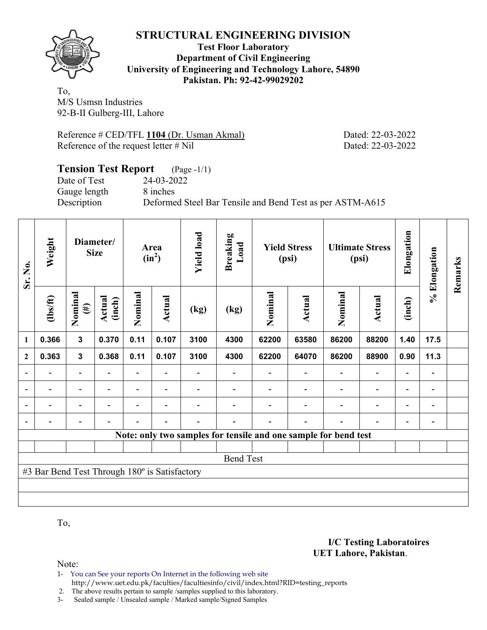

### **Test Floor Laboratory Department of Civil Engineering University of Engineering and Technology Lahore, 54890 Pakistan. Ph: 92-42-99029202**

To, M/S Usmsn Industries 92-B-II Gulberg-III, Lahore

Reference # CED/TFL **1104** (Dr. Usman Akmal) Dated: 22-03-2022 Reference of the request letter # Nil Dated: 22-03-2022

**I/C Testing Laboratoires** 

 **UET Lahore, Pakistan**.

## **Tension Test Report** (Page -1/1) Date of Test 24-03-2022 Gauge length 8 inches Description Deformed Steel Bar Tensile and Bend Test as per ASTM-A615

| Sr. No.                  | Weight                                        |                          | Diameter/<br><b>Size</b> |                          | Area<br>$(in^2)$         | <b>Yield load</b> | <b>Breaking</b><br>Load |                                                                 | <b>Yield Stress</b><br>(psi) |         | <b>Ultimate Stress</b><br>(psi) | Elongation               | % Elongation             | Remarks |
|--------------------------|-----------------------------------------------|--------------------------|--------------------------|--------------------------|--------------------------|-------------------|-------------------------|-----------------------------------------------------------------|------------------------------|---------|---------------------------------|--------------------------|--------------------------|---------|
|                          | $\frac{2}{10}$                                | Nominal<br>$(\#)$        | Actual<br>(inch)         | Nominal                  | <b>Actual</b>            | (kg)              | (kg)                    | Nominal                                                         | Actual                       | Nominal | <b>Actual</b>                   | (inch)                   |                          |         |
| $\mathbf{1}$             | 0.366                                         | $\mathbf 3$              | 0.370                    | 0.11                     | 0.107                    | 3100              | 4300                    | 62200                                                           | 63580                        | 86200   | 88200                           | 1.40                     | 17.5                     |         |
| $\boldsymbol{2}$         | 0.363                                         | $\mathbf{3}$             | 0.368                    | 0.11                     | 0.107                    | 3100              | 4300                    | 62200                                                           | 64070                        | 86200   | 88900                           | 0.90                     | 11.3                     |         |
| $\overline{\phantom{0}}$ |                                               | $\overline{\phantom{a}}$ |                          |                          |                          |                   |                         |                                                                 |                              |         |                                 |                          | -                        |         |
| $\blacksquare$           | $\overline{\phantom{a}}$                      | $\overline{\phantom{a}}$ | $\blacksquare$           |                          | $\blacksquare$           |                   |                         |                                                                 |                              |         |                                 | $\overline{\phantom{a}}$ | $\overline{\phantom{a}}$ |         |
|                          | $\overline{\phantom{0}}$                      | $\overline{\phantom{a}}$ |                          | $\blacksquare$           | $\overline{\phantom{a}}$ |                   |                         |                                                                 |                              |         |                                 |                          | -                        |         |
|                          |                                               | $\overline{\phantom{a}}$ | $\overline{\phantom{0}}$ | $\overline{\phantom{0}}$ | $\overline{\phantom{a}}$ |                   |                         |                                                                 |                              |         | $\overline{\phantom{0}}$        | ۰                        | -                        |         |
|                          |                                               |                          |                          |                          |                          |                   |                         | Note: only two samples for tensile and one sample for bend test |                              |         |                                 |                          |                          |         |
|                          |                                               |                          |                          |                          |                          |                   |                         |                                                                 |                              |         |                                 |                          |                          |         |
|                          |                                               |                          |                          |                          |                          |                   | <b>Bend Test</b>        |                                                                 |                              |         |                                 |                          |                          |         |
|                          | #3 Bar Bend Test Through 180° is Satisfactory |                          |                          |                          |                          |                   |                         |                                                                 |                              |         |                                 |                          |                          |         |
|                          |                                               |                          |                          |                          |                          |                   |                         |                                                                 |                              |         |                                 |                          |                          |         |
|                          |                                               |                          |                          |                          |                          |                   |                         |                                                                 |                              |         |                                 |                          |                          |         |

To,

Note:

1- You can See your reports On Internet in the following web site http://www.uet.edu.pk/faculties/facultiesinfo/civil/index.html?RID=testing\_reports

2. The above results pertain to sample /samples supplied to this laboratory.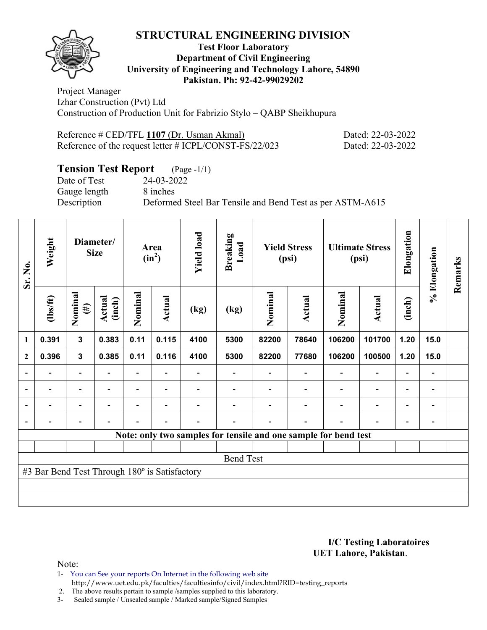

### **Test Floor Laboratory Department of Civil Engineering University of Engineering and Technology Lahore, 54890 Pakistan. Ph: 92-42-99029202**

Project Manager Izhar Construction (Pvt) Ltd Construction of Production Unit for Fabrizio Stylo – QABP Sheikhupura

| Reference # CED/TFL 1107 (Dr. Usman Akmal)             | Dated: 22-03-2022 |
|--------------------------------------------------------|-------------------|
| Reference of the request letter # ICPL/CONST-FS/22/023 | Dated: 22-03-2022 |

# **Tension Test Report** (Page -1/1)

Date of Test 24-03-2022 Gauge length 8 inches

Description Deformed Steel Bar Tensile and Bend Test as per ASTM-A615

| Sr. No.                  | Weight                                        |                          | Diameter/<br><b>Size</b> |                          | Area<br>$(in^2)$ | <b>Yield load</b> | <b>Breaking</b><br>Load                                         |         | <b>Yield Stress</b><br>(psi) |         | <b>Ultimate Stress</b><br>(psi) | Elongation | % Elongation                 | Remarks |
|--------------------------|-----------------------------------------------|--------------------------|--------------------------|--------------------------|------------------|-------------------|-----------------------------------------------------------------|---------|------------------------------|---------|---------------------------------|------------|------------------------------|---------|
|                          | $\frac{2}{10}$                                | Nominal<br>$(\#)$        | <b>Actual</b><br>(inch)  | Nominal                  | Actual           | (kg)              | (kg)                                                            | Nominal | <b>Actual</b>                | Nominal | Actual                          | (inch)     |                              |         |
| 1                        | 0.391                                         | $\mathbf{3}$             | 0.383                    | 0.11                     | 0.115            | 4100              | 5300                                                            | 82200   | 78640                        | 106200  | 101700                          | 1.20       | 15.0                         |         |
| $\mathbf{2}$             | 0.396                                         | $\mathbf{3}$             | 0.385                    | 0.11                     | 0.116            | 4100              | 5300                                                            | 82200   | 77680                        | 106200  | 100500                          | 1.20       | 15.0                         |         |
|                          |                                               | $\overline{\phantom{0}}$ |                          | $\overline{\phantom{0}}$ |                  |                   |                                                                 |         |                              |         |                                 |            |                              |         |
|                          |                                               | -                        |                          |                          |                  |                   |                                                                 |         |                              |         |                                 |            |                              |         |
| $\overline{a}$           |                                               | -                        |                          |                          |                  |                   |                                                                 |         |                              |         |                                 |            | -                            |         |
| $\overline{\phantom{0}}$ |                                               |                          |                          |                          |                  |                   |                                                                 |         |                              |         |                                 |            | $\qquad \qquad \blacksquare$ |         |
|                          |                                               |                          |                          |                          |                  |                   | Note: only two samples for tensile and one sample for bend test |         |                              |         |                                 |            |                              |         |
|                          |                                               |                          |                          |                          |                  |                   |                                                                 |         |                              |         |                                 |            |                              |         |
|                          |                                               |                          |                          |                          |                  |                   | <b>Bend Test</b>                                                |         |                              |         |                                 |            |                              |         |
|                          | #3 Bar Bend Test Through 180° is Satisfactory |                          |                          |                          |                  |                   |                                                                 |         |                              |         |                                 |            |                              |         |
|                          |                                               |                          |                          |                          |                  |                   |                                                                 |         |                              |         |                                 |            |                              |         |
|                          |                                               |                          |                          |                          |                  |                   |                                                                 |         |                              |         |                                 |            |                              |         |

#### **I/C Testing Laboratoires UET Lahore, Pakistan**.

Note:

1- You can See your reports On Internet in the following web site http://www.uet.edu.pk/faculties/facultiesinfo/civil/index.html?RID=testing\_reports

2. The above results pertain to sample / samples supplied to this laboratory.<br>3- Sealed sample / Unsealed sample / Marked sample/Signed Samples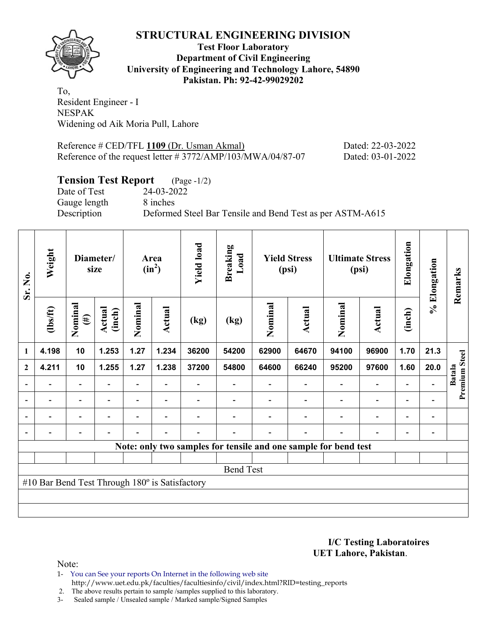

**Test Floor Laboratory Department of Civil Engineering University of Engineering and Technology Lahore, 54890 Pakistan. Ph: 92-42-99029202** 

To, Resident Engineer - I NESPAK Widening od Aik Moria Pull, Lahore

Reference # CED/TFL **1109** (Dr. Usman Akmal) Dated: 22-03-2022 Reference of the request letter # 3772/AMP/103/MWA/04/87-07 Dated: 03-01-2022

# **Tension Test Report** (Page -1/2)

Date of Test 24-03-2022 Gauge length 8 inches

Description Deformed Steel Bar Tensile and Bend Test as per ASTM-A615

| Sr. No.        | Weight                                         |                          | Diameter/<br>size |                          | Area<br>$(in^2)$         | <b>Yield load</b> | <b>Breaking</b><br>Load |         | <b>Yield Stress</b><br>(psi)                                    |                          | <b>Ultimate Stress</b><br>(psi) | Elongation               | % Elongation             | Remarks       |
|----------------|------------------------------------------------|--------------------------|-------------------|--------------------------|--------------------------|-------------------|-------------------------|---------|-----------------------------------------------------------------|--------------------------|---------------------------------|--------------------------|--------------------------|---------------|
|                | (1bs/ft)                                       | Nominal<br>$(\#)$        | Actual<br>(inch)  | Nominal                  | Actual                   | (kg)              | (kg)                    | Nominal | Actual                                                          | Nominal                  | <b>Actual</b>                   | (inch)                   |                          |               |
| 1              | 4.198                                          | 10                       | 1.253             | 1.27                     | 1.234                    | 36200             | 54200                   | 62900   | 64670                                                           | 94100                    | 96900                           | 1.70                     | 21.3                     |               |
| $\overline{2}$ | 4.211                                          | 10                       | 1.255             | 1.27                     | 1.238                    | 37200             | 54800                   | 64600   | 66240                                                           | 95200                    | 97600                           | 1.60                     | 20.0                     | <b>Batala</b> |
|                |                                                |                          |                   |                          |                          |                   |                         |         |                                                                 |                          | $\overline{a}$                  | $\overline{\phantom{0}}$ |                          | Premium Steel |
|                | $\blacksquare$                                 | $\overline{\phantom{a}}$ | $\blacksquare$    | $\blacksquare$           | $\overline{\phantom{a}}$ |                   |                         |         |                                                                 | $\overline{\phantom{0}}$ | $\overline{\phantom{a}}$        | $\overline{\phantom{a}}$ |                          |               |
|                | $\blacksquare$                                 | $\blacksquare$           |                   |                          | $\blacksquare$           |                   |                         |         |                                                                 | $\blacksquare$           | $\overline{\phantom{a}}$        | $\overline{\phantom{a}}$ | $\blacksquare$           |               |
|                |                                                | $\overline{\phantom{0}}$ |                   | $\overline{\phantom{0}}$ | $\overline{\phantom{0}}$ |                   |                         |         | ۰                                                               | $\blacksquare$           | $\overline{\phantom{0}}$        | $\overline{\phantom{a}}$ | $\overline{\phantom{0}}$ |               |
|                |                                                |                          |                   |                          |                          |                   |                         |         | Note: only two samples for tensile and one sample for bend test |                          |                                 |                          |                          |               |
|                |                                                |                          |                   |                          |                          |                   |                         |         |                                                                 |                          |                                 |                          |                          |               |
|                |                                                |                          |                   |                          |                          |                   | <b>Bend Test</b>        |         |                                                                 |                          |                                 |                          |                          |               |
|                | #10 Bar Bend Test Through 180° is Satisfactory |                          |                   |                          |                          |                   |                         |         |                                                                 |                          |                                 |                          |                          |               |
|                |                                                |                          |                   |                          |                          |                   |                         |         |                                                                 |                          |                                 |                          |                          |               |
|                |                                                |                          |                   |                          |                          |                   |                         |         |                                                                 |                          |                                 |                          |                          |               |

**I/C Testing Laboratoires UET Lahore, Pakistan**.

Note:

1- You can See your reports On Internet in the following web site http://www.uet.edu.pk/faculties/facultiesinfo/civil/index.html?RID=testing\_reports

2. The above results pertain to sample /samples supplied to this laboratory.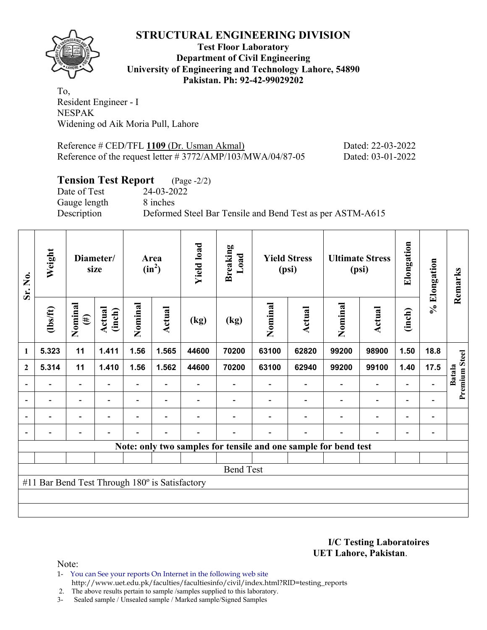

## **Test Floor Laboratory Department of Civil Engineering University of Engineering and Technology Lahore, 54890 Pakistan. Ph: 92-42-99029202**

To, Resident Engineer - I NESPAK Widening od Aik Moria Pull, Lahore

Reference # CED/TFL **1109** (Dr. Usman Akmal) Dated: 22-03-2022 Reference of the request letter # 3772/AMP/103/MWA/04/87-05 Dated: 03-01-2022

# **Tension Test Report** (Page -2/2)

Date of Test 24-03-2022 Gauge length 8 inches

Description Deformed Steel Bar Tensile and Bend Test as per ASTM-A615

| Sr. No.        | Weight                                         |                          | Diameter/<br>size |         | Area<br>$(in^2)$         | <b>Yield load</b> | <b>Breaking</b><br>$\mathbf{L}\mathbf{0}\mathbf{a}\mathbf{d}$ |         | <b>Yield Stress</b><br>(psi)                                    |                | <b>Ultimate Stress</b><br>(psi) | Elongation               | % Elongation                 | Remarks       |
|----------------|------------------------------------------------|--------------------------|-------------------|---------|--------------------------|-------------------|---------------------------------------------------------------|---------|-----------------------------------------------------------------|----------------|---------------------------------|--------------------------|------------------------------|---------------|
|                | $\frac{2}{10}$                                 | Nominal<br>$(\#)$        | Actual<br>(inch)  | Nominal | Actual                   | (kg)              | (kg)                                                          | Nominal | Actual                                                          | Nominal        | Actual                          | (inch)                   |                              |               |
| 1              | 5.323                                          | 11                       | 1.411             | 1.56    | 1.565                    | 44600             | 70200                                                         | 63100   | 62820                                                           | 99200          | 98900                           | 1.50                     | 18.8                         |               |
| $\overline{2}$ | 5.314                                          | 11                       | 1.410             | 1.56    | 1.562                    | 44600             | 70200                                                         | 63100   | 62940                                                           | 99200          | 99100                           | 1.40                     | 17.5                         | <b>Batala</b> |
|                |                                                |                          |                   |         |                          |                   |                                                               |         |                                                                 |                | $\overline{\phantom{0}}$        | $\overline{\phantom{0}}$ |                              | Premium Steel |
|                | $\overline{\phantom{0}}$                       | $\overline{\phantom{a}}$ | $\blacksquare$    |         | $\overline{\phantom{0}}$ |                   |                                                               |         |                                                                 |                | $\overline{a}$                  | $\overline{\phantom{0}}$ |                              |               |
|                | $\overline{\phantom{0}}$                       | $\overline{\phantom{a}}$ |                   |         | $\overline{\phantom{0}}$ |                   |                                                               |         | $\blacksquare$                                                  | $\blacksquare$ | $\overline{\phantom{0}}$        | $\overline{\phantom{0}}$ | $\overline{\phantom{0}}$     |               |
|                | $\overline{\phantom{0}}$                       | $\overline{\phantom{0}}$ |                   |         | $\overline{\phantom{0}}$ |                   |                                                               |         | $\overline{\phantom{0}}$                                        | $\blacksquare$ | $\overline{\phantom{0}}$        | $\overline{\phantom{a}}$ | $\qquad \qquad \blacksquare$ |               |
|                |                                                |                          |                   |         |                          |                   |                                                               |         | Note: only two samples for tensile and one sample for bend test |                |                                 |                          |                              |               |
|                |                                                |                          |                   |         |                          |                   |                                                               |         |                                                                 |                |                                 |                          |                              |               |
|                |                                                |                          |                   |         |                          |                   | <b>Bend Test</b>                                              |         |                                                                 |                |                                 |                          |                              |               |
|                | #11 Bar Bend Test Through 180° is Satisfactory |                          |                   |         |                          |                   |                                                               |         |                                                                 |                |                                 |                          |                              |               |
|                |                                                |                          |                   |         |                          |                   |                                                               |         |                                                                 |                |                                 |                          |                              |               |
|                |                                                |                          |                   |         |                          |                   |                                                               |         |                                                                 |                |                                 |                          |                              |               |

**I/C Testing Laboratoires UET Lahore, Pakistan**.

Note:

1- You can See your reports On Internet in the following web site http://www.uet.edu.pk/faculties/facultiesinfo/civil/index.html?RID=testing\_reports

2. The above results pertain to sample /samples supplied to this laboratory.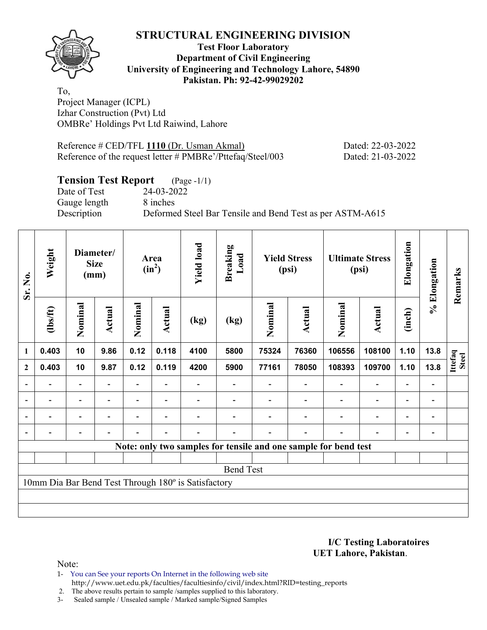

## **Test Floor Laboratory Department of Civil Engineering University of Engineering and Technology Lahore, 54890 Pakistan. Ph: 92-42-99029202**

To, Project Manager (ICPL) Izhar Construction (Pvt) Ltd OMBRe' Holdings Pvt Ltd Raiwind, Lahore

Reference # CED/TFL **1110** (Dr. Usman Akmal) Dated: 22-03-2022 Reference of the request letter # PMBRe'/Pttefaq/Steel/003 Dated: 21-03-2022

# **Tension Test Report** (Page -1/1)

Date of Test 24-03-2022 Gauge length 8 inches

Description Deformed Steel Bar Tensile and Bend Test as per ASTM-A615

| Sr. No.          | Weight   |                          | Diameter/<br><b>Size</b><br>(mm) |                | Area<br>$(in^2)$         | <b>Yield load</b>                                   | <b>Breaking</b><br>Load |         | <b>Yield Stress</b><br>(psi) |                                                                 | <b>Ultimate Stress</b><br>(psi) | Elongation               | % Elongation             | Remarks                 |
|------------------|----------|--------------------------|----------------------------------|----------------|--------------------------|-----------------------------------------------------|-------------------------|---------|------------------------------|-----------------------------------------------------------------|---------------------------------|--------------------------|--------------------------|-------------------------|
|                  | (1bs/ft) | Nominal                  | Actual                           | Nominal        | <b>Actual</b>            | (kg)                                                | (kg)                    | Nominal | Actual                       | Nominal                                                         | Actual                          | (inch)                   |                          |                         |
| $\mathbf{1}$     | 0.403    | 10                       | 9.86                             | 0.12           | 0.118                    | 4100                                                | 5800                    | 75324   | 76360                        | 106556                                                          | 108100                          | 1.10                     | 13.8                     |                         |
| $\boldsymbol{2}$ | 0.403    | 10                       | 9.87                             | 0.12           | 0.119                    | 4200                                                | 5900                    | 77161   | 78050                        | 108393                                                          | 109700                          | 1.10                     | 13.8                     | Ittefaq<br><b>Steel</b> |
|                  |          | Ξ.                       |                                  |                |                          |                                                     |                         |         |                              |                                                                 | $\blacksquare$                  | $\overline{\phantom{0}}$ |                          |                         |
|                  |          | $\overline{\phantom{a}}$ | $\overline{\phantom{a}}$         |                | $\blacksquare$           |                                                     |                         |         |                              | $\blacksquare$                                                  | $\overline{a}$                  | $\overline{\phantom{0}}$ | $\overline{\phantom{0}}$ |                         |
|                  | Ξ.       | $\overline{\phantom{a}}$ |                                  | $\overline{a}$ | $\overline{\phantom{0}}$ |                                                     |                         |         |                              | $\blacksquare$                                                  | $\blacksquare$                  | $\overline{\phantom{0}}$ | $\blacksquare$           |                         |
|                  |          | $\overline{\phantom{0}}$ | $\overline{\phantom{0}}$         |                | $\blacksquare$           |                                                     |                         |         | $\overline{\phantom{0}}$     | $\blacksquare$                                                  | $\overline{a}$                  | $\overline{\phantom{a}}$ |                          |                         |
|                  |          |                          |                                  |                |                          |                                                     |                         |         |                              | Note: only two samples for tensile and one sample for bend test |                                 |                          |                          |                         |
|                  |          |                          |                                  |                |                          |                                                     |                         |         |                              |                                                                 |                                 |                          |                          |                         |
|                  |          |                          |                                  |                |                          |                                                     | <b>Bend Test</b>        |         |                              |                                                                 |                                 |                          |                          |                         |
|                  |          |                          |                                  |                |                          | 10mm Dia Bar Bend Test Through 180° is Satisfactory |                         |         |                              |                                                                 |                                 |                          |                          |                         |
|                  |          |                          |                                  |                |                          |                                                     |                         |         |                              |                                                                 |                                 |                          |                          |                         |
|                  |          |                          |                                  |                |                          |                                                     |                         |         |                              |                                                                 |                                 |                          |                          |                         |

**I/C Testing Laboratoires UET Lahore, Pakistan**.

Note:

1- You can See your reports On Internet in the following web site http://www.uet.edu.pk/faculties/facultiesinfo/civil/index.html?RID=testing\_reports

2. The above results pertain to sample /samples supplied to this laboratory.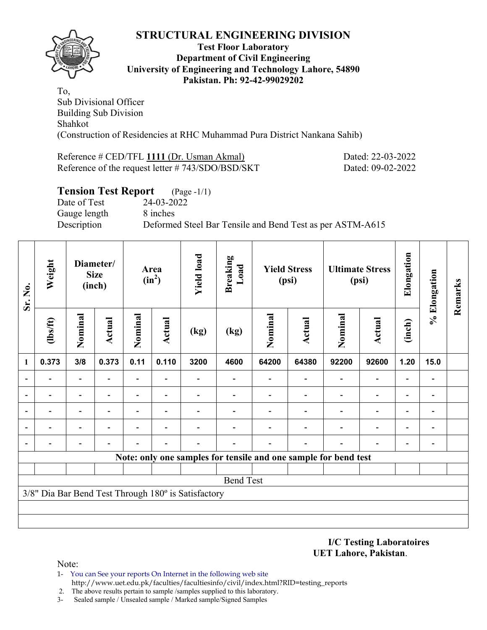

### **Test Floor Laboratory Department of Civil Engineering University of Engineering and Technology Lahore, 54890 Pakistan. Ph: 92-42-99029202**

To, Sub Divisional Officer Building Sub Division Shahkot (Construction of Residencies at RHC Muhammad Pura District Nankana Sahib)

### Reference # CED/TFL 1111 (Dr. Usman Akmal) Dated: 22-03-2022 Reference of the request letter # 743/SDO/BSD/SKT Dated: 09-02-2022

# **Tension Test Report** (Page -1/1) Date of Test 24-03-2022 Gauge length 8 inches Description Deformed Steel Bar Tensile and Bend Test as per ASTM-A615

| Sr. No. | Weight         |                                                     | Diameter/<br><b>Size</b><br>(inch) |                          | Area<br>$(in^2)$         | <b>Yield load</b> | <b>Breaking</b><br>Load |         | <b>Yield Stress</b><br>(psi) |                                                                 | <b>Ultimate Stress</b><br>(psi) | Elongation               | % Elongation                 | Remarks |
|---------|----------------|-----------------------------------------------------|------------------------------------|--------------------------|--------------------------|-------------------|-------------------------|---------|------------------------------|-----------------------------------------------------------------|---------------------------------|--------------------------|------------------------------|---------|
|         | $\frac{2}{10}$ | Nominal                                             | Actual                             | Nominal                  | Actual                   | (kg)              | (kg)                    | Nominal | <b>Actual</b>                | Nominal                                                         | <b>Actual</b>                   | (inch)                   |                              |         |
| 1       | 0.373          | 3/8                                                 | 0.373                              | 0.11                     | 0.110                    | 3200              | 4600                    | 64200   | 64380                        | 92200                                                           | 92600                           | 1.20                     | 15.0                         |         |
|         |                | $\overline{\phantom{0}}$                            |                                    | $\overline{\phantom{0}}$ |                          |                   |                         |         |                              |                                                                 | $\blacksquare$                  |                          | $\qquad \qquad \blacksquare$ |         |
|         |                | $\overline{\phantom{0}}$                            |                                    | $\overline{\phantom{0}}$ |                          |                   |                         |         |                              |                                                                 | $\blacksquare$                  |                          | $\overline{\phantom{0}}$     |         |
|         |                | $\overline{\phantom{a}}$                            | $\overline{a}$                     | -                        | $\overline{\phantom{a}}$ |                   | $\overline{a}$          |         |                              | $\overline{a}$                                                  | $\blacksquare$                  | $\overline{\phantom{0}}$ | $\qquad \qquad \blacksquare$ |         |
|         |                | $\overline{\phantom{0}}$                            |                                    | -                        |                          |                   |                         |         |                              |                                                                 |                                 | $\overline{\phantom{0}}$ | $\blacksquare$               |         |
|         |                |                                                     |                                    |                          |                          |                   |                         |         |                              |                                                                 |                                 |                          | -                            |         |
|         |                |                                                     |                                    |                          |                          |                   |                         |         |                              | Note: only one samples for tensile and one sample for bend test |                                 |                          |                              |         |
|         |                |                                                     |                                    |                          |                          |                   |                         |         |                              |                                                                 |                                 |                          |                              |         |
|         |                |                                                     |                                    |                          |                          |                   | <b>Bend Test</b>        |         |                              |                                                                 |                                 |                          |                              |         |
|         |                | 3/8" Dia Bar Bend Test Through 180° is Satisfactory |                                    |                          |                          |                   |                         |         |                              |                                                                 |                                 |                          |                              |         |
|         |                |                                                     |                                    |                          |                          |                   |                         |         |                              |                                                                 |                                 |                          |                              |         |
|         |                |                                                     |                                    |                          |                          |                   |                         |         |                              |                                                                 |                                 |                          |                              |         |

#### **I/C Testing Laboratoires UET Lahore, Pakistan**.

- 1- You can See your reports On Internet in the following web site http://www.uet.edu.pk/faculties/facultiesinfo/civil/index.html?RID=testing\_reports
- 2. The above results pertain to sample /samples supplied to this laboratory.
- 3- Sealed sample / Unsealed sample / Marked sample/Signed Samples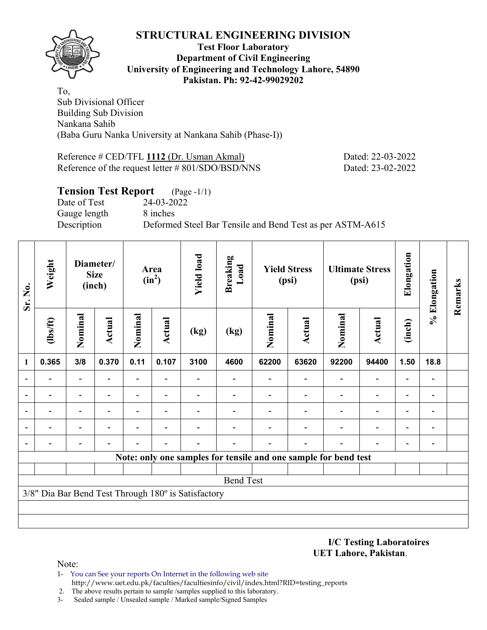

#### **Test Floor Laboratory Department of Civil Engineering University of Engineering and Technology Lahore, 54890 Pakistan. Ph: 92-42-99029202**

To, Sub Divisional Officer Building Sub Division Nankana Sahib (Baba Guru Nanka University at Nankana Sahib (Phase-I))

Reference # CED/TFL **1112** (Dr. Usman Akmal) Dated: 22-03-2022 Reference of the request letter # 801/SDO/BSD/NNS Dated: 23-02-2022

## **Tension Test Report** (Page -1/1)

Date of Test 24-03-2022 Gauge length 8 inches

Description Deformed Steel Bar Tensile and Bend Test as per ASTM-A615

| Sr. No.                  | Weight         |                          | Diameter/<br><b>Size</b><br>(inch) |                          | Area<br>$(in^2)$ | <b>Yield load</b>                                   | <b>Breaking</b><br>Load                                         |         | <b>Yield Stress</b><br>(psi) |         | <b>Ultimate Stress</b><br>(psi) | Elongation               | % Elongation             | Remarks |
|--------------------------|----------------|--------------------------|------------------------------------|--------------------------|------------------|-----------------------------------------------------|-----------------------------------------------------------------|---------|------------------------------|---------|---------------------------------|--------------------------|--------------------------|---------|
|                          | (1bs/ft)       | Nominal                  | <b>Actual</b>                      | Nominal                  | <b>Actual</b>    | (kg)                                                | (kg)                                                            | Nominal | Actual                       | Nominal | Actual                          | (inch)                   |                          |         |
| 1                        | 0.365          | 3/8                      | 0.370                              | 0.11                     | 0.107            | 3100                                                | 4600                                                            | 62200   | 63620                        | 92200   | 94400                           | 1.50                     | 18.8                     |         |
|                          |                | $\overline{\phantom{0}}$ |                                    | $\overline{\phantom{0}}$ |                  |                                                     |                                                                 |         |                              |         | $\overline{\phantom{0}}$        |                          | $\qquad \qquad$          |         |
|                          |                | -                        |                                    | -                        |                  |                                                     |                                                                 |         |                              |         | $\overline{\phantom{0}}$        |                          | $\overline{a}$           |         |
| $\overline{\phantom{0}}$ |                |                          |                                    |                          |                  |                                                     |                                                                 |         |                              |         |                                 |                          | $\overline{a}$           |         |
| $\blacksquare$           | $\blacksquare$ | $\overline{\phantom{0}}$ | ۰                                  |                          | ۰                |                                                     |                                                                 |         |                              |         | $\overline{\phantom{a}}$        | $\overline{\phantom{0}}$ | $\overline{\phantom{a}}$ |         |
| $\blacksquare$           | -              | -                        |                                    |                          |                  |                                                     |                                                                 |         |                              |         |                                 | $\overline{\phantom{0}}$ | -                        |         |
|                          |                |                          |                                    |                          |                  |                                                     | Note: only one samples for tensile and one sample for bend test |         |                              |         |                                 |                          |                          |         |
|                          |                |                          |                                    |                          |                  |                                                     |                                                                 |         |                              |         |                                 |                          |                          |         |
|                          |                |                          |                                    |                          |                  |                                                     | <b>Bend Test</b>                                                |         |                              |         |                                 |                          |                          |         |
|                          |                |                          |                                    |                          |                  | 3/8" Dia Bar Bend Test Through 180° is Satisfactory |                                                                 |         |                              |         |                                 |                          |                          |         |
|                          |                |                          |                                    |                          |                  |                                                     |                                                                 |         |                              |         |                                 |                          |                          |         |
|                          |                |                          |                                    |                          |                  |                                                     |                                                                 |         |                              |         |                                 |                          |                          |         |

#### **I/C Testing Laboratoires UET Lahore, Pakistan**.

- 1- You can See your reports On Internet in the following web site http://www.uet.edu.pk/faculties/facultiesinfo/civil/index.html?RID=testing\_reports
- 2. The above results pertain to sample /samples supplied to this laboratory.
- 3- Sealed sample / Unsealed sample / Marked sample/Signed Samples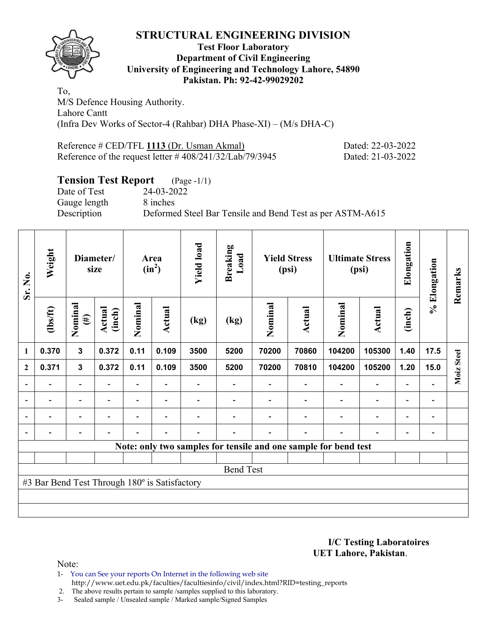

### **Test Floor Laboratory Department of Civil Engineering University of Engineering and Technology Lahore, 54890 Pakistan. Ph: 92-42-99029202**

To, M/S Defence Housing Authority. Lahore Cantt (Infra Dev Works of Sector-4 (Rahbar) DHA Phase-XI) – (M/s DHA-C)

Reference # CED/TFL 1113 (Dr. Usman Akmal) Dated: 22-03-2022 Reference of the request letter # 408/241/32/Lab/79/3945 Dated: 21-03-2022

# **Tension Test Report** (Page -1/1)

Date of Test 24-03-2022 Gauge length 8 inches

Description Deformed Steel Bar Tensile and Bend Test as per ASTM-A615

| Sr. No.        | Weight                                        |                          | Diameter/<br>size        |         | Area<br>$(in^2)$         | <b>Yield load</b> | <b>Breaking</b><br>Load |         | <b>Yield Stress</b><br>(psi) |                                                                 | <b>Ultimate Stress</b><br>(psi) | Elongation               | % Elongation                 | Remarks    |
|----------------|-----------------------------------------------|--------------------------|--------------------------|---------|--------------------------|-------------------|-------------------------|---------|------------------------------|-----------------------------------------------------------------|---------------------------------|--------------------------|------------------------------|------------|
|                | $\frac{2}{10}$                                | Nominal<br>$(\#)$        | Actual<br>(inch)         | Nominal | Actual                   | (kg)              | (kg)                    | Nominal | Actual                       | Nominal                                                         | Actual                          | (inch)                   |                              |            |
| 1              | 0.370                                         | $\mathbf{3}$             | 0.372                    | 0.11    | 0.109                    | 3500              | 5200                    | 70200   | 70860                        | 104200                                                          | 105300                          | 1.40                     | 17.5                         |            |
| $\mathbf{2}$   | 0.371                                         | $\mathbf{3}$             | 0.372                    | 0.11    | 0.109                    | 3500              | 5200                    | 70200   | 70810                        | 104200                                                          | 105200                          | 1.20                     | 15.0                         | Moiz Steel |
|                |                                               | $\overline{\phantom{0}}$ |                          |         |                          |                   |                         |         |                              |                                                                 | $\overline{\phantom{0}}$        | $\overline{a}$           |                              |            |
| $\blacksquare$ | $\overline{\phantom{0}}$                      | $\blacksquare$           | $\overline{\phantom{0}}$ |         | $\blacksquare$           |                   |                         |         |                              | $\overline{\phantom{0}}$                                        | $\overline{\phantom{a}}$        | $\overline{\phantom{a}}$ | $\overline{\phantom{a}}$     |            |
| $\blacksquare$ |                                               | $\overline{\phantom{0}}$ |                          |         |                          |                   |                         |         |                              | ۰                                                               | $\overline{\phantom{0}}$        | $\overline{\phantom{0}}$ | $\overline{\phantom{0}}$     |            |
|                | -                                             | $\overline{\phantom{0}}$ |                          |         | $\overline{\phantom{a}}$ | -                 |                         |         | $\overline{\phantom{0}}$     | $\blacksquare$                                                  | $\overline{\phantom{0}}$        | $\overline{\phantom{a}}$ | $\qquad \qquad \blacksquare$ |            |
|                |                                               |                          |                          |         |                          |                   |                         |         |                              | Note: only two samples for tensile and one sample for bend test |                                 |                          |                              |            |
|                |                                               |                          |                          |         |                          |                   |                         |         |                              |                                                                 |                                 |                          |                              |            |
|                | <b>Bend Test</b>                              |                          |                          |         |                          |                   |                         |         |                              |                                                                 |                                 |                          |                              |            |
|                | #3 Bar Bend Test Through 180° is Satisfactory |                          |                          |         |                          |                   |                         |         |                              |                                                                 |                                 |                          |                              |            |
|                |                                               |                          |                          |         |                          |                   |                         |         |                              |                                                                 |                                 |                          |                              |            |
|                |                                               |                          |                          |         |                          |                   |                         |         |                              |                                                                 |                                 |                          |                              |            |

**I/C Testing Laboratoires UET Lahore, Pakistan**.

Note:

1- You can See your reports On Internet in the following web site http://www.uet.edu.pk/faculties/facultiesinfo/civil/index.html?RID=testing\_reports

2. The above results pertain to sample /samples supplied to this laboratory.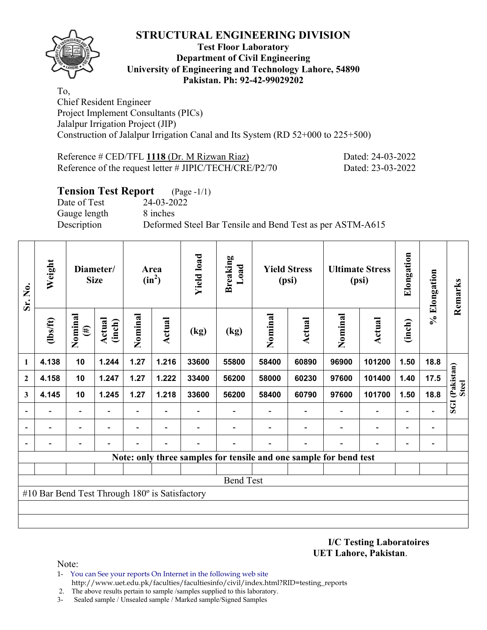

## **Test Floor Laboratory Department of Civil Engineering University of Engineering and Technology Lahore, 54890 Pakistan. Ph: 92-42-99029202**

To, Chief Resident Engineer Project Implement Consultants (PICs) Jalalpur Irrigation Project (JIP) Construction of Jalalpur Irrigation Canal and Its System (RD 52+000 to 225+500)

| Reference # CED/TFL 1118 (Dr. M Rizwan Riaz)           | Dated: 24-03-2022 |
|--------------------------------------------------------|-------------------|
| Reference of the request letter # JIPIC/TECH/CRE/P2/70 | Dated: 23-03-2022 |

## **Tension Test Report** (Page -1/1)

Date of Test 24-03-2022 Gauge length 8 inches

Description Deformed Steel Bar Tensile and Bend Test as per ASTM-A615

| Sr. No.                  | Weight                                         |                          | Diameter/<br><b>Size</b> |         | Area<br>$(in^2)$ | <b>Yield load</b> | <b>Breaking</b><br>Load |                                                                   | <b>Yield Stress</b><br>(psi) |         | <b>Ultimate Stress</b><br>(psi) | Elongation               | % Elongation                 | Remarks                               |
|--------------------------|------------------------------------------------|--------------------------|--------------------------|---------|------------------|-------------------|-------------------------|-------------------------------------------------------------------|------------------------------|---------|---------------------------------|--------------------------|------------------------------|---------------------------------------|
|                          | (1bs/ft)                                       | Nominal<br>$(\#)$        | <b>Actual</b><br>(inch)  | Nominal | Actual           | (kg)              | (kg)                    | Nominal                                                           | Actual                       | Nominal | Actual                          | (inch)                   |                              |                                       |
| 1                        | 4.138                                          | 10                       | 1.244                    | 1.27    | 1.216            | 33600             | 55800                   | 58400                                                             | 60890                        | 96900   | 101200                          | 1.50                     | 18.8                         |                                       |
| $\mathbf{2}$             | 4.158                                          | 10                       | 1.247                    | 1.27    | 1.222            | 33400             | 56200                   | 58000                                                             | 60230                        | 97600   | 101400                          | 1.40                     | 17.5                         |                                       |
| 3                        | 4.145                                          | 10                       | 1.245                    | 1.27    | 1.218            | 33600             | 56200                   | 58400                                                             | 60790                        | 97600   | 101700                          | 1.50                     | 18.8                         | <b>SGI</b> (Pakistan)<br><b>Steel</b> |
|                          |                                                |                          |                          |         |                  |                   |                         |                                                                   |                              |         |                                 |                          |                              |                                       |
| $\overline{\phantom{0}}$ |                                                | $\overline{\phantom{0}}$ |                          |         |                  |                   |                         |                                                                   |                              |         | $\overline{\phantom{0}}$        | $\overline{\phantom{0}}$ | $\qquad \qquad \blacksquare$ |                                       |
| $\overline{\phantom{a}}$ |                                                |                          |                          |         |                  |                   |                         |                                                                   |                              |         |                                 | $\overline{\phantom{0}}$ | $\qquad \qquad \blacksquare$ |                                       |
|                          |                                                |                          |                          |         |                  |                   |                         | Note: only three samples for tensile and one sample for bend test |                              |         |                                 |                          |                              |                                       |
|                          |                                                |                          |                          |         |                  |                   |                         |                                                                   |                              |         |                                 |                          |                              |                                       |
|                          |                                                |                          |                          |         |                  |                   | <b>Bend Test</b>        |                                                                   |                              |         |                                 |                          |                              |                                       |
|                          | #10 Bar Bend Test Through 180° is Satisfactory |                          |                          |         |                  |                   |                         |                                                                   |                              |         |                                 |                          |                              |                                       |
|                          |                                                |                          |                          |         |                  |                   |                         |                                                                   |                              |         |                                 |                          |                              |                                       |
|                          |                                                |                          |                          |         |                  |                   |                         |                                                                   |                              |         |                                 |                          |                              |                                       |

**I/C Testing Laboratoires UET Lahore, Pakistan**.

- 1- You can See your reports On Internet in the following web site http://www.uet.edu.pk/faculties/facultiesinfo/civil/index.html?RID=testing\_reports
- 2. The above results pertain to sample /samples supplied to this laboratory.
- 3- Sealed sample / Unsealed sample / Marked sample/Signed Samples